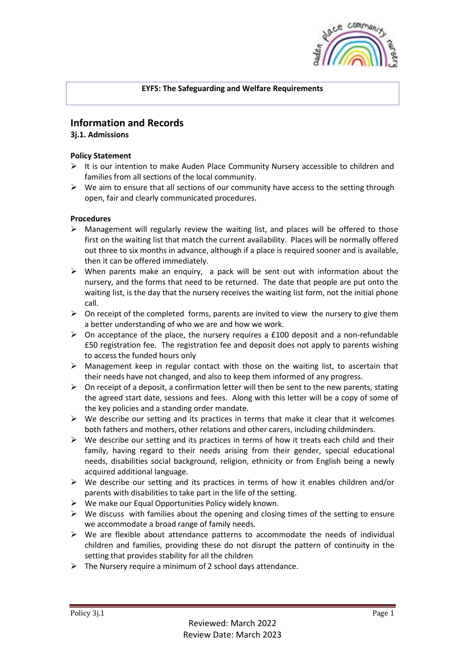

## **EYFS: The Safeguarding and Welfare Requirements**

# **Information and Records**

## **3j.1. Admissions**

## **Policy Statement**

- $\triangleright$  It is our intention to make Auden Place Community Nursery accessible to children and families from all sections of the local community.
- $\triangleright$  We aim to ensure that all sections of our community have access to the setting through open, fair and clearly communicated procedures.

## **Procedures**

- $\triangleright$  Management will regularly review the waiting list, and places will be offered to those first on the waiting list that match the current availability. Places will be normally offered out three to six months in advance, although if a place is required sooner and is available, then it can be offered immediately.
- $\triangleright$  When parents make an enquiry, a pack will be sent out with information about the nursery, and the forms that need to be returned. The date that people are put onto the waiting list, is the day that the nursery receives the waiting list form, not the initial phone call.
- $\triangleright$  On receipt of the completed forms, parents are invited to view the nursery to give them a better understanding of who we are and how we work.
- $\triangleright$  On acceptance of the place, the nursery requires a £100 deposit and a non-refundable £50 registration fee. The registration fee and deposit does not apply to parents wishing to access the funded hours only
- $\triangleright$  Management keep in regular contact with those on the waiting list, to ascertain that their needs have not changed, and also to keep them informed of any progress.
- $\triangleright$  On receipt of a deposit, a confirmation letter will then be sent to the new parents, stating the agreed start date, sessions and fees. Along with this letter will be a copy of some of the key policies and a standing order mandate.
- $\triangleright$  We describe our setting and its practices in terms that make it clear that it welcomes both fathers and mothers, other relations and other carers, including childminders.
- $\triangleright$  We describe our setting and its practices in terms of how it treats each child and their family, having regard to their needs arising from their gender, special educational needs, disabilities social background, religion, ethnicity or from English being a newly acquired additional language.
- $\triangleright$  We describe our setting and its practices in terms of how it enables children and/or parents with disabilities to take part in the life of the setting.
- $\triangleright$  We make our Equal Opportunities Policy widely known.
- $\triangleright$  We discuss with families about the opening and closing times of the setting to ensure we accommodate a broad range of family needs.
- $\triangleright$  We are flexible about attendance patterns to accommodate the needs of individual children and families, providing these do not disrupt the pattern of continuity in the setting that provides stability for all the children
- $\triangleright$  The Nursery require a minimum of 2 school days attendance.